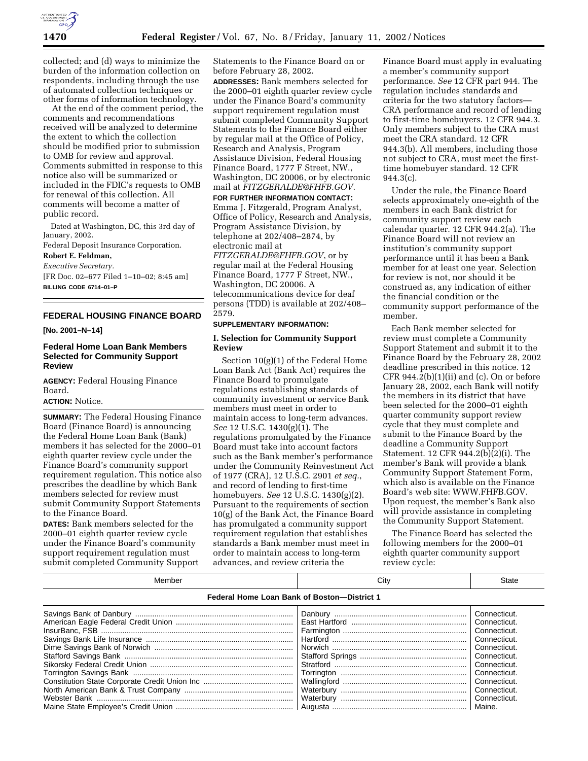

collected; and (d) ways to minimize the burden of the information collection on respondents, including through the use of automated collection techniques or other forms of information technology.

At the end of the comment period, the comments and recommendations received will be analyzed to determine the extent to which the collection should be modified prior to submission to OMB for review and approval. Comments submitted in response to this notice also will be summarized or included in the FDIC's requests to OMB for renewal of this collection. All comments will become a matter of public record.

Dated at Washington, DC, this 3rd day of January, 2002.

Federal Deposit Insurance Corporation. **Robert E. Feldman,**

# *Executive Secretary.*

[FR Doc. 02–677 Filed 1–10–02; 8:45 am] **BILLING CODE 6714–01–P**

# **FEDERAL HOUSING FINANCE BOARD**

**[No. 2001–N–14]**

### **Federal Home Loan Bank Members Selected for Community Support Review**

**AGENCY:** Federal Housing Finance Board.

### **ACTION:** Notice.

**SUMMARY:** The Federal Housing Finance Board (Finance Board) is announcing the Federal Home Loan Bank (Bank) members it has selected for the 2000–01 eighth quarter review cycle under the Finance Board's community support requirement regulation. This notice also prescribes the deadline by which Bank members selected for review must submit Community Support Statements to the Finance Board.

**DATES:** Bank members selected for the 2000–01 eighth quarter review cycle under the Finance Board's community support requirement regulation must submit completed Community Support Statements to the Finance Board on or before February 28, 2002.

**ADDRESSES:** Bank members selected for the 2000–01 eighth quarter review cycle under the Finance Board's community support requirement regulation must submit completed Community Support Statements to the Finance Board either by regular mail at the Office of Policy, Research and Analysis, Program Assistance Division, Federal Housing Finance Board, 1777 F Street, NW., Washington, DC 20006, or by electronic mail at *FITZGERALDE@FHFB.GOV*.

**FOR FURTHER INFORMATION CONTACT:** Emma J. Fitzgerald, Program Analyst, Office of Policy, Research and Analysis, Program Assistance Division, by telephone at 202/408–2874, by electronic mail at *FITZGERALDE@FHFB.GOV*, or by regular mail at the Federal Housing Finance Board, 1777 F Street, NW., Washington, DC 20006. A telecommunications device for deaf persons (TDD) is available at 202/408–

#### **SUPPLEMENTARY INFORMATION:**

2579.

#### **I. Selection for Community Support Review**

Section 10(g)(1) of the Federal Home Loan Bank Act (Bank Act) requires the Finance Board to promulgate regulations establishing standards of community investment or service Bank members must meet in order to maintain access to long-term advances. *See* 12 U.S.C. 1430(g)(1). The regulations promulgated by the Finance Board must take into account factors such as the Bank member's performance under the Community Reinvestment Act of 1977 (CRA), 12 U.S.C. 2901 *et seq.*, and record of lending to first-time homebuyers. *See* 12 U.S.C. 1430(g)(2). Pursuant to the requirements of section 10(g) of the Bank Act, the Finance Board has promulgated a community support requirement regulation that establishes standards a Bank member must meet in order to maintain access to long-term advances, and review criteria the

Finance Board must apply in evaluating a member's community support performance. *See* 12 CFR part 944. The regulation includes standards and criteria for the two statutory factors— CRA performance and record of lending to first-time homebuyers. 12 CFR 944.3. Only members subject to the CRA must meet the CRA standard. 12 CFR 944.3(b). All members, including those not subject to CRA, must meet the firsttime homebuyer standard. 12 CFR 944.3(c).

Under the rule, the Finance Board selects approximately one-eighth of the members in each Bank district for community support review each calendar quarter. 12 CFR 944.2(a). The Finance Board will not review an institution's community support performance until it has been a Bank member for at least one year. Selection for review is not, nor should it be construed as, any indication of either the financial condition or the community support performance of the member.

Each Bank member selected for review must complete a Community Support Statement and submit it to the Finance Board by the February 28, 2002 deadline prescribed in this notice. 12 CFR 944.2(b)(1)(ii) and (c). On or before January 28, 2002, each Bank will notify the members in its district that have been selected for the 2000–01 eighth quarter community support review cycle that they must complete and submit to the Finance Board by the deadline a Community Support Statement. 12 CFR 944.2(b)(2)(i). The member's Bank will provide a blank Community Support Statement Form, which also is available on the Finance Board's web site: WWW.FHFB.GOV. Upon request, the member's Bank also will provide assistance in completing the Community Support Statement.

The Finance Board has selected the following members for the 2000–01 eighth quarter community support review cycle:

| Federal Home Loan Bank of Boston-District 1                                                                                                                                  |  |
|------------------------------------------------------------------------------------------------------------------------------------------------------------------------------|--|
|                                                                                                                                                                              |  |
| Connecticut.<br>Connecticut.<br>Connecticut.<br>Connecticut.<br>Connecticut.<br>Connecticut.<br>Connecticut.<br>Connecticut.<br>Connecticut.<br>Connecticut.<br>Connecticut. |  |

Member City State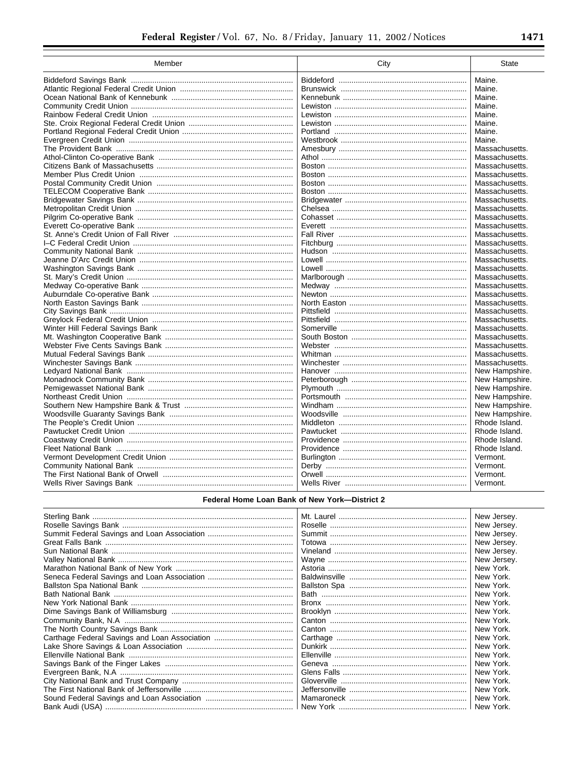| Member | City | <b>State</b>   |
|--------|------|----------------|
|        |      | Maine.         |
|        |      | Maine.         |
|        |      | Maine.         |
|        |      | Maine.         |
|        |      | Maine.         |
|        |      | Maine.         |
|        |      | Maine.         |
|        |      | Maine.         |
|        |      | Massachusetts. |
|        |      | Massachusetts. |
|        |      | Massachusetts. |
|        |      | Massachusetts. |
|        |      | Massachusetts. |
|        |      | Massachusetts. |
|        |      | Massachusetts. |
|        |      | Massachusetts. |
|        |      | Massachusetts. |
|        |      | Massachusetts. |
|        |      | Massachusetts. |
|        |      | Massachusetts. |
|        |      | Massachusetts. |
|        |      | Massachusetts. |
|        |      | Massachusetts. |
|        |      | Massachusetts. |
|        |      | Massachusetts. |
|        |      | Massachusetts. |
|        |      | Massachusetts. |
|        |      | Massachusetts. |
|        |      | Massachusetts. |
|        |      | Massachusetts. |
|        |      | Massachusetts. |
|        |      | Massachusetts. |
|        |      | Massachusetts. |
|        |      | Massachusetts. |
|        |      | New Hampshire. |
|        |      | New Hampshire. |
|        |      | New Hampshire. |
|        |      | New Hampshire. |
|        |      | New Hampshire. |
|        |      | New Hampshire. |
|        |      | Rhode Island.  |
|        |      | Rhode Island.  |
|        |      | Rhode Island.  |
|        |      | Rhode Island.  |
|        |      | Vermont.       |
|        |      | Vermont.       |
|        |      | Vermont.       |
|        |      | Vermont.       |

### Federal Home Loan Bank of New York-District 2

|                                                                                  | New Jersey. |
|----------------------------------------------------------------------------------|-------------|
|                                                                                  | New Jersey. |
|                                                                                  | New Jersey. |
|                                                                                  | New Jersey. |
|                                                                                  | New Jersey. |
|                                                                                  | New Jersey. |
|                                                                                  | New York.   |
|                                                                                  | New York.   |
|                                                                                  | New York.   |
|                                                                                  | New York.   |
|                                                                                  | New York.   |
|                                                                                  | New York.   |
|                                                                                  | New York.   |
|                                                                                  | New York.   |
|                                                                                  | New York.   |
|                                                                                  | New York.   |
|                                                                                  | New York.   |
|                                                                                  | New York.   |
|                                                                                  | New York.   |
|                                                                                  | New York.   |
|                                                                                  | New York.   |
|                                                                                  | New York.   |
| Bank Audi (USA) …………………………………………………………………………………………!New York …………………………………………………… | New York.   |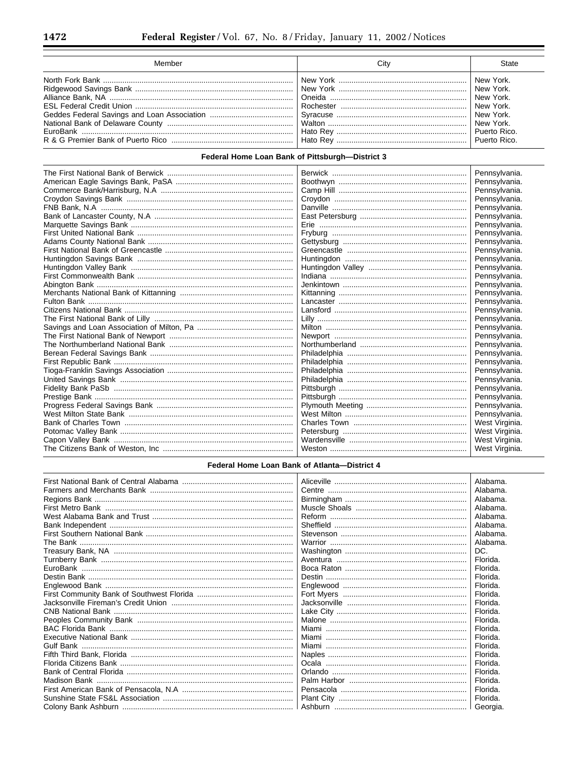| Member | Citv | State |
|--------|------|-------|
|        |      |       |
|        |      |       |

### Federal Home Loan Bank of Pittsburgh-District 3

| Pennsylvania.  |
|----------------|
| Pennsylvania.  |
| Pennsylvania.  |
| Pennsylvania.  |
| Pennsylvania.  |
| Pennsylvania.  |
| Pennsylvania.  |
| Pennsylvania.  |
| Pennsylvania.  |
| Pennsylvania.  |
| Pennsylvania.  |
| Pennsylvania.  |
| Pennsylvania.  |
| Pennsylvania.  |
| Pennsylvania.  |
| Pennsylvania.  |
| Pennsylvania.  |
| Pennsylvania.  |
| Pennsylvania.  |
| Pennsylvania.  |
| Pennsylvania.  |
| Pennsylvania.  |
| Pennsylvania.  |
| Pennsylvania.  |
| Pennsylvania.  |
| Pennsylvania.  |
| Pennsylvania.  |
| Pennsylvania.  |
| Pennsylvania.  |
| West Virginia. |
| West Virginia. |
|                |
| West Virginia. |

## Federal Home Loan Bank of Atlanta-District 4

|  | Alabama. |
|--|----------|
|  | Alabama. |
|  | Alabama. |
|  | Alabama. |
|  | Alabama. |
|  | Alabama. |
|  | Alabama. |
|  | Alabama. |
|  | DC.      |
|  | Florida. |
|  | Florida. |
|  | Florida. |
|  | Florida. |
|  | Florida. |
|  | Florida. |
|  | Florida. |
|  | Florida. |
|  | Florida. |
|  | Florida. |
|  | Florida. |
|  | Florida. |
|  | Florida. |
|  | Florida. |
|  | Florida. |
|  | Florida. |
|  | Florida. |
|  | Georgia. |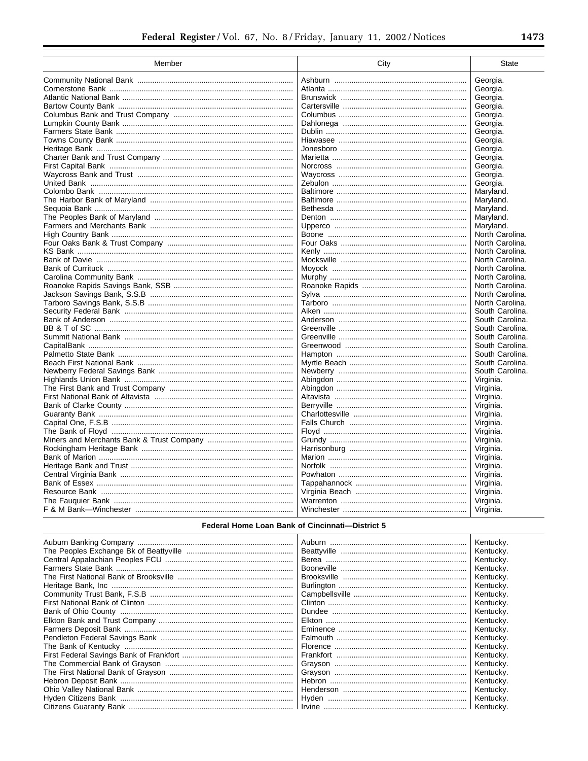| Member                                      | City | <b>State</b>    |
|---------------------------------------------|------|-----------------|
|                                             |      | Georgia.        |
|                                             |      | Georgia.        |
|                                             |      | Georgia.        |
|                                             |      | Georgia.        |
|                                             |      | Georgia.        |
|                                             |      | Georgia.        |
|                                             |      | Georgia.        |
|                                             |      | Georgia.        |
|                                             |      | Georgia.        |
|                                             |      | Georgia.        |
|                                             |      | Georgia.        |
|                                             |      | Georgia.        |
|                                             |      | Georgia.        |
|                                             |      | Maryland.       |
|                                             |      | Maryland.       |
|                                             |      | Maryland.       |
|                                             |      | Maryland.       |
|                                             |      | Maryland.       |
|                                             |      | North Carolina. |
|                                             |      | North Carolina. |
|                                             |      | North Carolina. |
|                                             |      | North Carolina. |
|                                             |      |                 |
|                                             |      | North Carolina. |
|                                             |      | North Carolina. |
|                                             |      | North Carolina. |
|                                             |      | North Carolina. |
|                                             |      | North Carolina. |
|                                             |      | South Carolina. |
|                                             |      | South Carolina. |
| BB & T of SC ……………………………………………………………………………… |      | South Carolina. |
|                                             |      | South Carolina. |
|                                             |      | South Carolina. |
|                                             |      | South Carolina. |
|                                             |      | South Carolina. |
|                                             |      | South Carolina. |
|                                             |      | Virginia.       |
|                                             |      | Virginia.       |
|                                             |      | Virginia.       |
|                                             |      | Virginia.       |
|                                             |      | Virginia.       |
|                                             |      | Virginia.       |
|                                             |      | Virginia.       |
|                                             |      | Virginia.       |
|                                             |      | Virginia.       |
|                                             |      | Virginia.       |
|                                             |      | Virginia.       |
|                                             |      | Virginia.       |
|                                             |      | Virginia.       |
|                                             |      | Virginia.       |
|                                             |      | Virginia.       |
|                                             |      | Virginia.       |
|                                             |      |                 |

# Federal Home Loan Bank of Cincinnati-District 5

|  | Kentucky. |
|--|-----------|
|  | Kentucky. |
|  | Kentucky. |
|  | Kentucky. |
|  | Kentucky. |
|  | Kentucky. |
|  | Kentucky. |
|  | Kentucky. |
|  | Kentucky. |
|  | Kentucky. |
|  | Kentucky. |
|  | Kentucky. |
|  | Kentucky. |
|  | Kentucky. |
|  | Kentucky. |
|  | Kentucky. |
|  | Kentucky. |
|  | Kentucky. |
|  | Kentucky. |
|  | Kentucky. |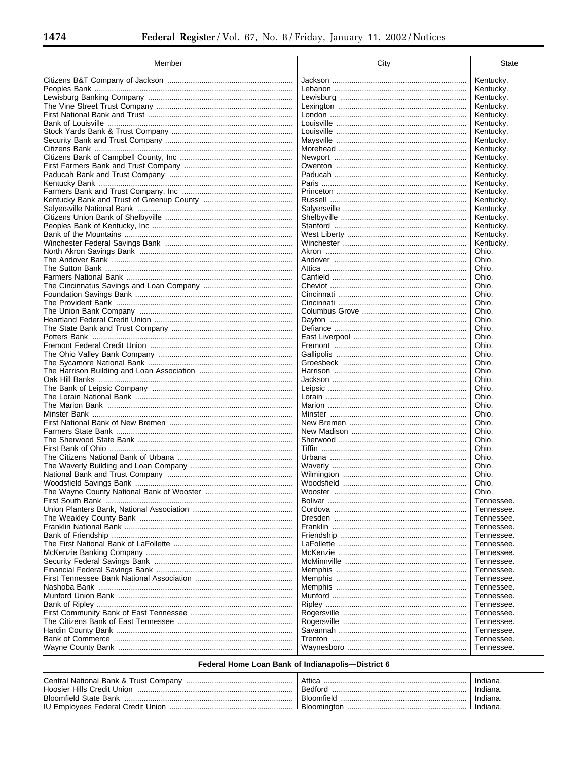| Member | City              | <b>State</b>             |
|--------|-------------------|--------------------------|
|        |                   | Kentucky.                |
|        |                   | Kentucky.                |
|        |                   | Kentucky.                |
|        |                   | Kentucky.                |
|        |                   | Kentucky.                |
|        |                   | Kentucky.                |
|        |                   | Kentucky.                |
|        |                   | Kentucky.                |
|        |                   | Kentucky.                |
|        |                   | Kentucky.                |
|        |                   | Kentucky.<br>Kentucky.   |
|        |                   | Kentucky.                |
|        |                   | Kentucky.                |
|        |                   | Kentucky.                |
|        |                   | Kentucky.                |
|        |                   | Kentucky.                |
|        |                   | Kentucky.                |
|        |                   | Kentucky.                |
|        |                   | Kentucky.                |
|        |                   | Ohio.                    |
|        |                   | Ohio.<br>Ohio.           |
|        |                   | Ohio.                    |
|        |                   | Ohio.                    |
|        |                   | Ohio.                    |
|        |                   | Ohio.                    |
|        |                   | Ohio.                    |
|        |                   | Ohio.                    |
|        |                   | Ohio.                    |
|        |                   | Ohio.                    |
|        |                   | Ohio.                    |
|        |                   | Ohio.                    |
|        |                   | Ohio.                    |
|        |                   | Ohio.<br>Ohio.           |
|        |                   | Ohio.                    |
|        |                   | Ohio.                    |
|        |                   | Ohio.                    |
|        |                   | Ohio.                    |
|        |                   | Ohio.                    |
|        |                   | Ohio.                    |
|        |                   | Ohio.                    |
|        |                   | Ohio.                    |
|        |                   | Ohio.                    |
|        |                   | Ohio.                    |
|        | <b>Woodsfield</b> | Ohio.<br>Ohio            |
|        |                   | Ohio.                    |
|        |                   | Tennessee.               |
|        |                   | Tennessee.               |
|        |                   | Tennessee.               |
|        |                   | Tennessee.               |
|        |                   | Tennessee.               |
|        |                   | Tennessee.               |
|        |                   | Tennessee.               |
|        |                   | Tennessee.               |
|        |                   | Tennessee.               |
|        |                   | Tennessee.<br>Tennessee. |
|        |                   | Tennessee.               |
|        |                   | Tennessee.               |
|        |                   | Tennessee.               |
|        |                   | Tennessee.               |
|        |                   | Tennessee.               |
|        |                   | Tennessee.               |
|        |                   | Tennessee.               |
|        |                   |                          |

## Federal Home Loan Bank of Indianapolis-District 6

|                         | Attics        | Indiana |
|-------------------------|---------------|---------|
|                         | Redford       | Indiana |
| - Bloomfield State Bank |               |         |
|                         | - Bloominaton |         |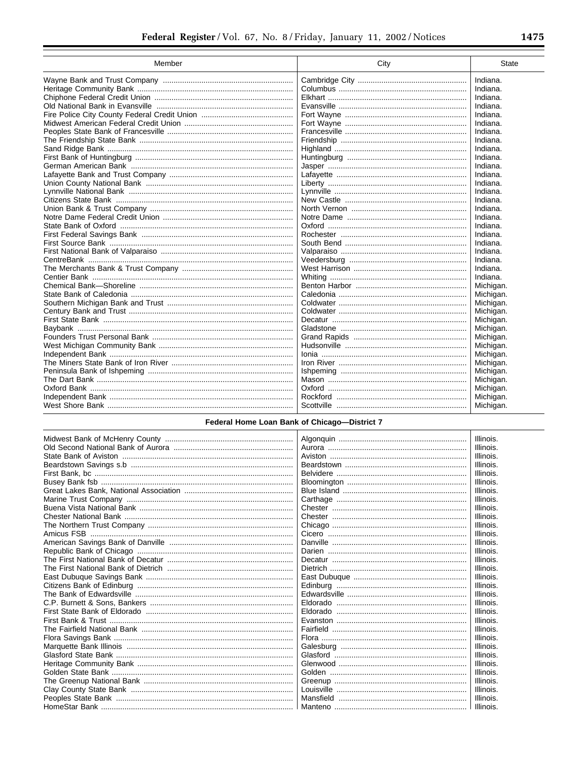| Member | City | <b>State</b> |
|--------|------|--------------|
|        |      | Indiana.     |
|        |      | Indiana.     |
|        |      | Indiana.     |
|        |      | Indiana.     |
|        |      | Indiana.     |
|        |      | Indiana.     |
|        |      | Indiana.     |
|        |      | Indiana.     |
|        |      | Indiana.     |
|        |      | Indiana.     |
|        |      | Indiana.     |
|        |      | Indiana.     |
|        |      | Indiana.     |
|        |      | Indiana.     |
|        |      | Indiana.     |
|        |      | Indiana.     |
|        |      | Indiana.     |
|        |      | Indiana.     |
|        |      | Indiana.     |
|        |      | Indiana.     |
|        |      | Indiana.     |
|        |      | Indiana.     |
|        |      | Indiana.     |
|        |      | Indiana.     |
|        |      | Michigan.    |
|        |      | Michigan.    |
|        |      | Michigan.    |
|        |      | Michigan.    |
|        |      | Michigan.    |
|        |      | Michigan.    |
|        |      | Michigan.    |
|        |      | Michigan.    |
|        |      | Michigan.    |
|        |      | Michigan.    |
|        |      | Michigan.    |
|        |      | Michigan.    |
|        |      | Michigan.    |
|        |      | Michigan.    |
|        |      | Michigan.    |

## Federal Home Loan Bank of Chicago-District 7

|  | Illinois. |
|--|-----------|
|  | Illinois. |
|  | Illinois. |
|  | Illinois. |
|  | Illinois. |
|  | Illinois. |
|  | Illinois. |
|  | Illinois. |
|  | Illinois. |
|  | Illinois. |
|  | Illinois. |
|  | Illinois. |
|  | Illinois. |
|  | Illinois. |
|  | Illinois. |
|  | Illinois. |
|  | Illinois. |
|  | Illinois. |
|  | Illinois. |
|  | Illinois. |
|  | Illinois. |
|  | Illinois. |
|  | Illinois. |
|  | Illinois. |
|  | Illinois. |
|  | Illinois. |
|  | Illinois. |
|  | Illinois. |
|  | Illinois. |
|  | Illinois. |
|  | Illinois. |
|  | Illinois. |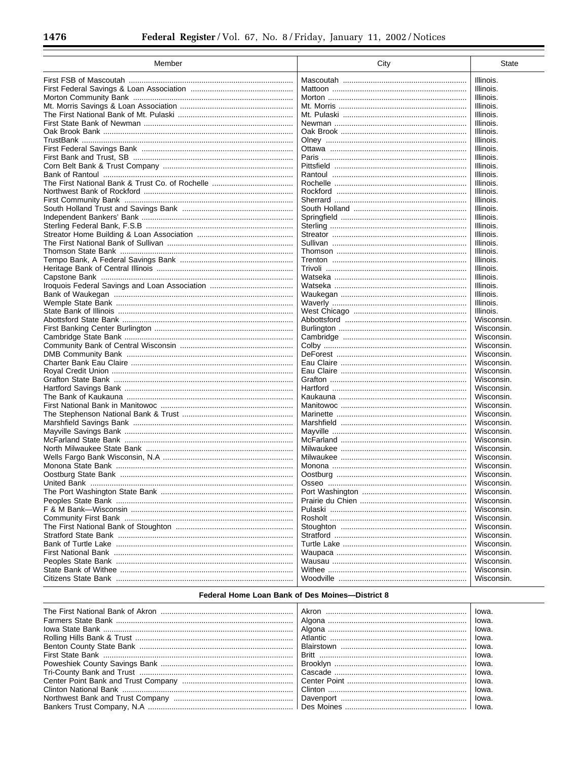T

| Member      | City  | State      |
|-------------|-------|------------|
|             |       | Illinois.  |
|             |       | Illinois.  |
|             |       | Illinois.  |
|             |       | Illinois.  |
|             |       | Illinois.  |
|             |       | Illinois.  |
|             |       | Illinois.  |
|             |       |            |
|             |       | Illinois.  |
|             |       | Illinois.  |
|             |       | Illinois.  |
|             |       | Illinois.  |
|             |       | Illinois.  |
|             |       | Illinois.  |
|             |       | Illinois.  |
|             |       | Illinois.  |
|             |       | Illinois.  |
|             |       | Illinois.  |
|             |       | Illinois.  |
|             |       | Illinois.  |
|             |       | Illinois.  |
|             |       | Illinois.  |
|             |       | Illinois.  |
|             |       | Illinois.  |
|             |       | Illinois.  |
|             |       | Illinois.  |
|             |       | Illinois.  |
|             |       | Illinois.  |
|             |       | Illinois.  |
|             |       |            |
|             |       | Wisconsin. |
|             |       | Wisconsin. |
|             |       | Wisconsin. |
|             |       | Wisconsin. |
|             |       | Wisconsin. |
|             |       | Wisconsin. |
|             |       | Wisconsin. |
|             |       | Wisconsin. |
|             |       | Wisconsin. |
|             |       | Wisconsin. |
|             |       | Wisconsin. |
|             |       | Wisconsin. |
|             |       | Wisconsin. |
|             |       | Wisconsin. |
|             |       | Wisconsin. |
|             |       | Wisconsin. |
|             |       | Wisconsin. |
|             |       | Wisconsin. |
|             |       | Wisconsin. |
| United Bank | Osseo | Wisconsin  |
|             |       | Wisconsin. |
|             |       | Wisconsin. |
|             |       |            |
|             |       | Wisconsin. |
|             |       | Wisconsin. |
|             |       | Wisconsin. |
|             |       | Wisconsin. |
|             |       | Wisconsin. |
|             |       | Wisconsin. |
|             |       | Wisconsin. |
|             |       | Wisconsin. |
|             |       | Wisconsin. |
|             |       |            |

#### Federal Home Loan Bank of Des Moines-District 8 ┑

|  | lowa. |
|--|-------|
|  | lowa. |
|  | lowa. |
|  | lowa. |
|  | lowa. |
|  | lowa. |
|  | lowa. |
|  | lowa. |
|  | lowa. |
|  | lowa. |
|  |       |
|  |       |

Ξ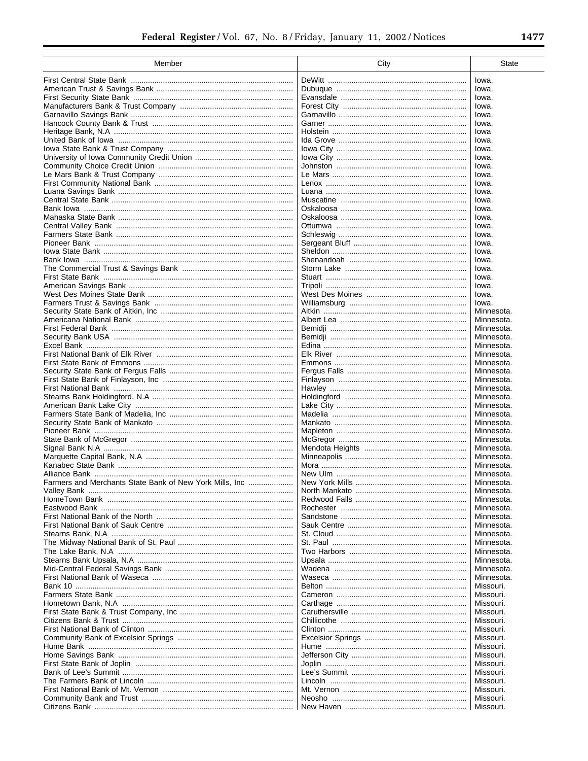| Member                                                  | City | <b>State</b>             |
|---------------------------------------------------------|------|--------------------------|
|                                                         |      | lowa.                    |
|                                                         |      | lowa.                    |
|                                                         |      | lowa.                    |
|                                                         |      | lowa.                    |
|                                                         |      |                          |
|                                                         |      | lowa.<br>lowa.           |
|                                                         |      |                          |
|                                                         |      | lowa<br>lowa.            |
|                                                         |      | lowa.                    |
|                                                         |      | lowa.                    |
|                                                         |      | lowa.                    |
|                                                         |      | lowa.                    |
|                                                         |      | lowa.                    |
|                                                         |      | lowa.                    |
|                                                         |      | lowa.                    |
|                                                         |      | lowa.                    |
|                                                         |      | lowa.                    |
|                                                         |      | lowa.                    |
|                                                         |      | lowa.                    |
|                                                         |      | lowa.                    |
|                                                         |      | lowa.                    |
|                                                         |      | lowa.                    |
|                                                         |      | lowa.                    |
|                                                         |      | lowa.                    |
|                                                         |      | lowa.                    |
|                                                         |      | lowa.                    |
|                                                         |      | lowa.                    |
|                                                         |      | Minnesota.               |
|                                                         |      | Minnesota.               |
|                                                         |      | Minnesota.               |
|                                                         |      | Minnesota.               |
|                                                         |      | Minnesota.               |
|                                                         |      | Minnesota.               |
|                                                         |      | Minnesota.               |
|                                                         |      | Minnesota.               |
|                                                         |      | Minnesota.               |
|                                                         |      | Minnesota.               |
|                                                         |      | Minnesota.               |
|                                                         |      | Minnesota.               |
|                                                         |      | Minnesota.               |
|                                                         |      | Minnesota.               |
|                                                         |      | Minnesota.               |
|                                                         |      | Minnesota.               |
|                                                         |      | Minnesota.               |
|                                                         |      | Minnesota.               |
|                                                         |      | Minnesota.               |
|                                                         |      | Minnesota.               |
| Farmers and Merchants State Bank of New York Mills, Inc |      | Minnesota                |
|                                                         |      | Minnesota.               |
|                                                         |      | Minnesota.               |
|                                                         |      | Minnesota.               |
|                                                         |      | Minnesota.               |
|                                                         |      | Minnesota.               |
|                                                         |      | Minnesota.               |
|                                                         |      | Minnesota.<br>Minnesota. |
|                                                         |      | Minnesota.               |
|                                                         |      | Minnesota.               |
|                                                         |      | Minnesota.               |
|                                                         |      | Missouri.                |
|                                                         |      | Missouri.                |
|                                                         |      | Missouri.                |
|                                                         |      | Missouri.                |
|                                                         |      | Missouri.                |
|                                                         |      | Missouri.                |
|                                                         |      | Missouri.                |
|                                                         |      | Missouri.                |
|                                                         |      | Missouri.                |
|                                                         |      | Missouri.                |
|                                                         |      | Missouri.                |
|                                                         |      | Missouri.                |
|                                                         |      | Missouri.                |
|                                                         |      | Missouri.                |
|                                                         |      | Missouri.                |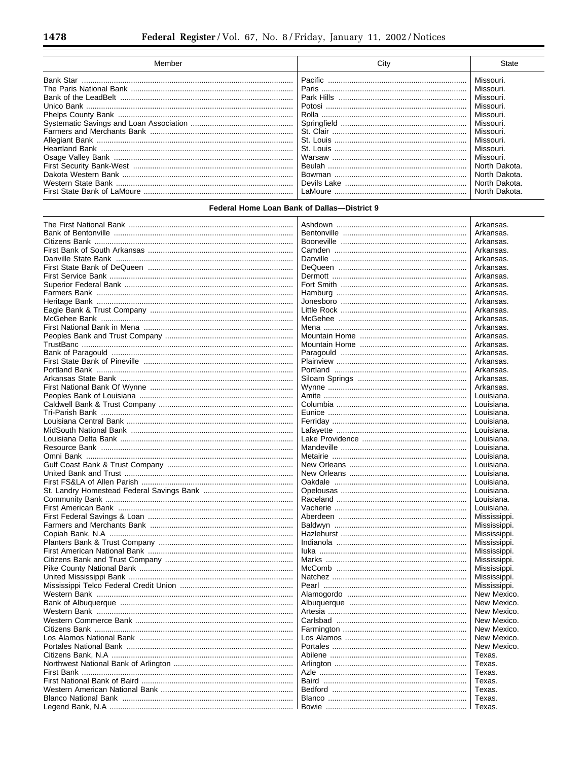| Member | City                         | State                                                                                                                                                                                              |
|--------|------------------------------|----------------------------------------------------------------------------------------------------------------------------------------------------------------------------------------------------|
|        | Pacific<br>Rolla<br>I aMoure | Missouri.<br>Missouri.<br>Missouri.<br>Missouri.<br>Missouri.<br>Missouri.<br>Missouri.<br>Missouri.<br>Missouri.<br>Missouri.<br>North Dakota.<br>North Dakota.<br>North Dakota.<br>North Dakota. |

## Federal Home Loan Bank of Dallas-District 9

|                                            |                                     | Arkansas.    |
|--------------------------------------------|-------------------------------------|--------------|
|                                            |                                     | Arkansas.    |
|                                            |                                     | Arkansas.    |
|                                            |                                     | Arkansas.    |
|                                            |                                     | Arkansas.    |
|                                            |                                     | Arkansas.    |
|                                            |                                     | Arkansas.    |
|                                            |                                     | Arkansas.    |
|                                            |                                     | Arkansas.    |
|                                            |                                     | Arkansas.    |
|                                            |                                     | Arkansas.    |
|                                            |                                     | Arkansas.    |
|                                            |                                     | Arkansas.    |
|                                            |                                     | Arkansas.    |
|                                            |                                     | Arkansas.    |
|                                            |                                     | Arkansas.    |
|                                            |                                     | Arkansas.    |
|                                            |                                     | Arkansas.    |
|                                            |                                     | Arkansas.    |
|                                            |                                     | Arkansas.    |
|                                            |                                     | Louisiana.   |
|                                            |                                     | Louisiana.   |
|                                            |                                     | Louisiana.   |
|                                            |                                     |              |
|                                            |                                     | Louisiana.   |
|                                            |                                     | Louisiana.   |
|                                            |                                     | Louisiana.   |
|                                            |                                     | Louisiana.   |
| Omni Bank …………………………………………………………………………………… |                                     | Louisiana.   |
|                                            |                                     | Louisiana.   |
|                                            |                                     | Louisiana.   |
|                                            |                                     | Louisiana.   |
|                                            |                                     | Louisiana.   |
|                                            |                                     | Louisiana.   |
|                                            |                                     | Louisiana.   |
|                                            |                                     | Mississippi. |
|                                            |                                     | Mississippi. |
|                                            |                                     | Mississippi. |
|                                            |                                     | Mississippi. |
|                                            | <u>luka ……………………………………………………………</u> | Mississippi. |
|                                            |                                     | Mississippi. |
|                                            |                                     | Mississippi. |
|                                            |                                     | Mississippi. |
|                                            |                                     | Mississippi. |
|                                            |                                     | New Mexico.  |
|                                            |                                     | New Mexico.  |
|                                            |                                     | New Mexico.  |
|                                            |                                     | New Mexico.  |
|                                            |                                     | New Mexico.  |
|                                            |                                     | New Mexico.  |
|                                            |                                     | New Mexico.  |
|                                            |                                     | Texas.       |
|                                            |                                     | Texas.       |
|                                            |                                     | Texas.       |
|                                            |                                     |              |
|                                            |                                     | Texas.       |
|                                            |                                     | Texas.       |
|                                            |                                     | Texas.       |
|                                            |                                     | Texas.       |

۳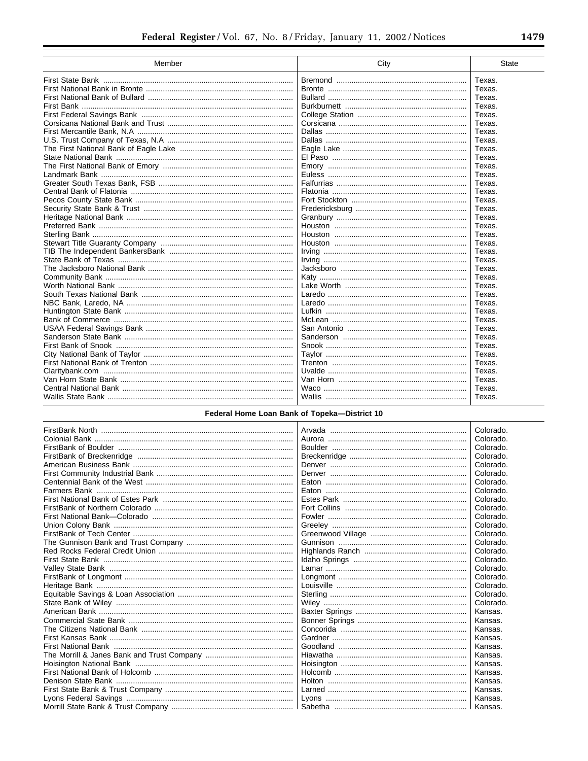| Member | City                          | <b>State</b> |
|--------|-------------------------------|--------------|
|        |                               | Texas.       |
|        |                               | Texas.       |
|        |                               | Texas.       |
|        |                               | Texas.       |
|        |                               | Texas.       |
|        |                               | Texas.       |
|        |                               | Texas.       |
|        |                               | Texas.       |
|        |                               | Texas.       |
|        |                               | Texas.       |
|        |                               | Texas.       |
|        |                               | Texas.       |
|        |                               | Texas.       |
|        |                               | Texas.       |
|        |                               | Texas.       |
|        |                               | Texas.       |
|        |                               | Texas.       |
|        |                               | Texas.       |
|        |                               | Texas.       |
|        |                               | Texas.       |
|        |                               | Texas.       |
|        |                               | Texas.       |
|        |                               | Texas.       |
|        |                               | Texas.       |
|        |                               | Texas.       |
|        |                               | Texas.       |
|        |                               | Texas.       |
|        | Lufkin ………………………………………………………… | Texas.       |
|        |                               | Texas.       |
|        |                               | Texas.       |
|        |                               | Texas.       |
|        |                               | Texas.       |
|        |                               | Texas.       |
|        |                               | Texas.       |
|        |                               | Texas.       |
|        |                               | Texas.       |
|        |                               | Texas.       |
|        |                               | Texas.       |

## Federal Home Loan Bank of Topeka-District 10

|  | Colorado. |
|--|-----------|
|  | Colorado. |
|  | Colorado. |
|  | Colorado. |
|  | Colorado. |
|  | Colorado. |
|  | Colorado. |
|  | Colorado. |
|  | Colorado. |
|  | Colorado. |
|  | Colorado. |
|  | Colorado. |
|  | Colorado. |
|  | Colorado. |
|  | Colorado. |
|  | Colorado. |
|  | Colorado. |
|  | Colorado. |
|  | Colorado. |
|  | Colorado. |
|  | Colorado. |
|  | Kansas.   |
|  | Kansas.   |
|  | Kansas.   |
|  | Kansas.   |
|  | Kansas.   |
|  | Kansas.   |
|  | Kansas.   |
|  | Kansas.   |
|  | Kansas.   |
|  | Kansas.   |
|  | Kansas.   |
|  | Kansas.   |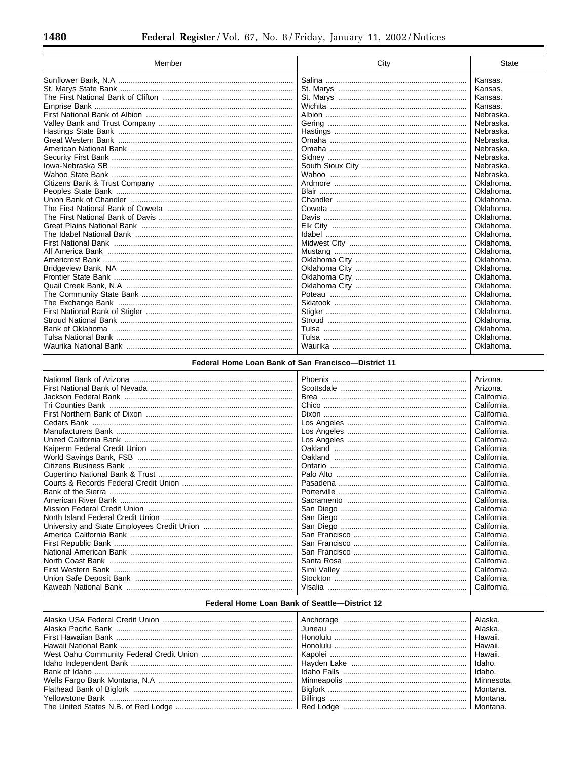| Member | City | <b>State</b> |
|--------|------|--------------|
|        |      | Kansas.      |
|        |      | Kansas.      |
|        |      | Kansas.      |
|        |      | Kansas.      |
|        |      | Nebraska.    |
|        |      | Nebraska.    |
|        |      | Nebraska.    |
|        |      | Nebraska.    |
|        |      | Nebraska.    |
|        |      | Nebraska.    |
|        |      | Nebraska.    |
|        |      | Nebraska.    |
|        |      | Oklahoma.    |
|        |      | Oklahoma.    |
|        |      | Oklahoma.    |
|        |      | Oklahoma.    |
|        |      | Oklahoma.    |
|        |      | Oklahoma.    |
|        |      | Oklahoma.    |
|        |      | Oklahoma.    |
|        |      | Oklahoma.    |
|        |      | Oklahoma.    |
|        |      | Oklahoma.    |
|        |      | Oklahoma.    |
|        |      | Oklahoma.    |
|        |      | Oklahoma.    |
|        |      | Oklahoma.    |
|        |      | Oklahoma.    |
|        |      | Oklahoma.    |
|        |      | Oklahoma.    |
|        |      | Oklahoma.    |
|        |      | Oklahoma.    |

### Federal Home Loan Bank of San Francisco-District 11

|  | Arizona.    |
|--|-------------|
|  | Arizona.    |
|  | California. |
|  | California. |
|  | California. |
|  | California. |
|  | California. |
|  | California. |
|  | California. |
|  | California. |
|  | California. |
|  | California. |
|  | California. |
|  | California. |
|  | California. |
|  | California. |
|  | California. |
|  | California. |
|  | California. |
|  | California. |
|  | California. |
|  | California. |
|  | California. |
|  | California. |
|  | California. |

### Federal Home Loan Bank of Seattle-District 12

| Idaho Independent Bank ……………………………………………………………………   Havden Lake ……………………………………………   Idaho. |  | Alaska.<br>  Alaska.<br>Hawaii.<br>Hawaii.<br>Idaho. |
|--------------------------------------------------------------------------------------------|--|------------------------------------------------------|
|--------------------------------------------------------------------------------------------|--|------------------------------------------------------|

п